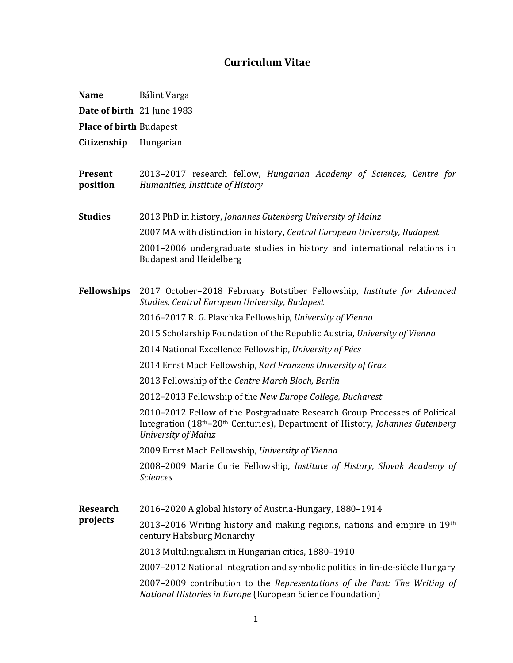## **Curriculum Vitae**

- **Date of birth**  21 June 1983
- **Place of birth** Budapest
- **Citizenship**  Hungarian

**Present position**  2013–2017 research fellow, *Hungarian Academy of Sciences, Centre for Humanities, Institute of History*

**Studies** 2013 PhD in history, *Johannes Gutenberg University of Mainz*  2007 MA with distinction in history, *Central European University, Budapest* 2001–2006 undergraduate studies in history and international relations in Budapest and Heidelberg

**Fellowships** 2017 October–2018 February Botstiber Fellowship, *Institute for Advanced Studies, Central European University, Budapest*

2016–2017 R. G. Plaschka Fellowship, *University of Vienna*

2015 Scholarship Foundation of the Republic Austria, *University of Vienna*

2014 National Excellence Fellowship, *University of Pécs*

2014 Ernst Mach Fellowship, *Karl Franzens University of Graz*

2013 Fellowship of the *Centre March Bloch, Berlin*

2012–2013 Fellowship of the *New Europe College, Bucharest* 

2010–2012 Fellow of the Postgraduate Research Group Processes of Political Integration (18th–20th Centuries), Department of History, *Johannes Gutenberg University of Mainz* 

2009 Ernst Mach Fellowship, *University of Vienna* 

2008–2009 Marie Curie Fellowship, *Institute of History, Slovak Academy of Sciences* 

**Research**  2016–2020 A global history of Austria-Hungary, 1880–1914

**projects**  2013–2016 Writing history and making regions, nations and empire in 19th century Habsburg Monarchy

2013 Multilingualism in Hungarian cities, 1880–1910

2007–2012 National integration and symbolic politics in fin-de-siècle Hungary

2007–2009 contribution to the *Representations of the Past: The Writing of National Histories in Europe* (European Science Foundation)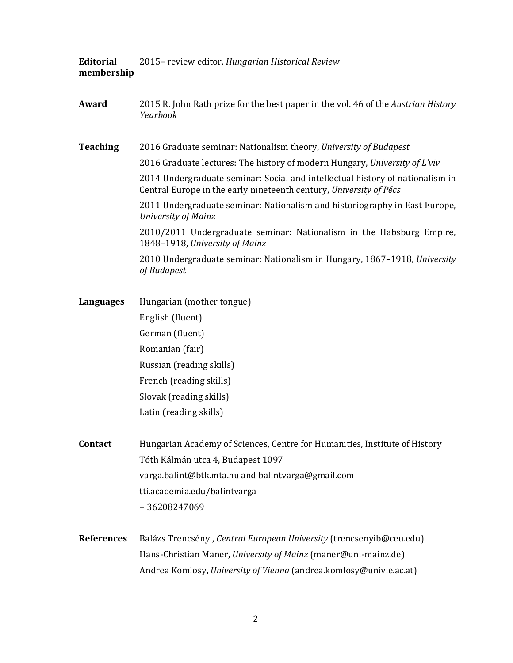**Editorial membership** 2015– review editor, *Hungarian Historical Review*

**Award** 2015 R. John Rath prize for the best paper in the vol. 46 of the *Austrian History Yearbook* **Teaching** 2016 Graduate seminar: Nationalism theory, *University of Budapest* 2016 Graduate lectures: The history of modern Hungary, *University of L'viv* 2014 Undergraduate seminar: Social and intellectual history of nationalism in Central Europe in the early nineteenth century, *University of Pécs* 2011 Undergraduate seminar: Nationalism and historiography in East Europe, *University of Mainz*  2010/2011 Undergraduate seminar: Nationalism in the Habsburg Empire, 1848–1918, *University of Mainz*  2010 Undergraduate seminar: Nationalism in Hungary, 1867–1918, *University of Budapest*  **Languages** Hungarian (mother tongue) English (fluent) German (fluent) Romanian (fair) Russian (reading skills) French (reading skills) Slovak (reading skills) Latin (reading skills) **Contact** Hungarian Academy of Sciences, Centre for Humanities, Institute of History Tóth Kálmán utca 4, Budapest 1097 varga.balint@btk.mta.hu and balintvarga@gmail.com tti.academia.edu/balintvarga + 36208247069 **References** Balázs Trencsényi, *Central European University* (trencsenyib@ceu.edu)

Hans-Christian Maner, *University of Mainz* (maner@uni-mainz.de)

Andrea Komlosy, *University of Vienna* (andrea.komlosy@univie.ac.at)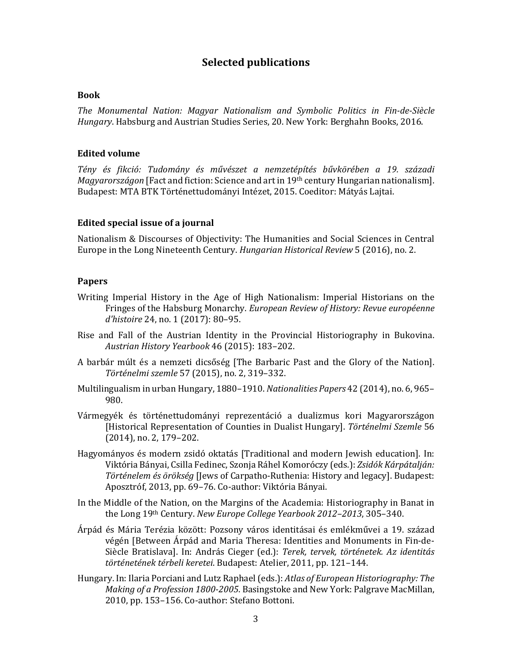# **Selected publications**

#### **Book**

*The Monumental Nation: Magyar Nationalism and Symbolic Politics in Fin-de-Siècle Hungary*. Habsburg and Austrian Studies Series, 20. New York: Berghahn Books, 2016.

#### **Edited volume**

*Tény és fikció: Tudomány és művészet a nemzetépítés bűvkörében a 19. századi Magyarországon* [Fact and fiction: Science and art in 19th century Hungarian nationalism]. Budapest: MTA BTK Történettudományi Intézet, 2015. Coeditor: Mátyás Lajtai.

### **Edited special issue of a journal**

Nationalism & Discourses of Objectivity: The Humanities and Social Sciences in Central Europe in the Long Nineteenth Century. *Hungarian Historical Review* 5 (2016), no. 2.

### **Papers**

- Writing Imperial History in the Age of High Nationalism: Imperial Historians on the Fringes of the Habsburg Monarchy. *European Review of History: Revue européenne d'histoire* 24, no. 1 (2017): 80–95.
- Rise and Fall of the Austrian Identity in the Provincial Historiography in Bukovina. *Austrian History Yearbook* 46 (2015): 183–202.
- A barbár múlt és a nemzeti dicsőség [The Barbaric Past and the Glory of the Nation]. *Történelmi szemle* 57 (2015), no. 2, 319–332.
- Multilingualism in urban Hungary, 1880–1910. *Nationalities Papers* 42 (2014), no. 6, 965– 980.
- Vármegyék és történettudományi reprezentáció a dualizmus kori Magyarországon [Historical Representation of Counties in Dualist Hungary]. *Történelmi Szemle* 56 (2014), no. 2, 179–202.
- Hagyományos és modern zsidó oktatás [Traditional and modern Jewish education]. In: Viktória Bányai, Csilla Fedinec, Szonja Ráhel Komoróczy (eds.): *Zsidók Kárpátalján: Történelem és örökség* [Jews of Carpatho-Ruthenia: History and legacy]. Budapest: Aposztróf, 2013, pp. 69–76. Co-author: Viktória Bányai.
- In the Middle of the Nation, on the Margins of the Academia: Historiography in Banat in the Long 19th Century. *New Europe College Yearbook 2012–2013*, 305–340.
- Árpád és Mária Terézia között: Pozsony város identitásai és emlékművei a 19. század végén [Between Árpád and Maria Theresa: Identities and Monuments in Fin-de-Siècle Bratislava]. In: András Cieger (ed.): *Terek, tervek, történetek. Az identitás történetének térbeli keretei*. Budapest: Atelier, 2011, pp. 121–144.
- Hungary. In: Ilaria Porciani and Lutz Raphael (eds.): *Atlas of European Historiography: The Making of a Profession 1800-2005*. Basingstoke and New York: Palgrave MacMillan, 2010, pp. 153–156. Co-author: Stefano Bottoni.